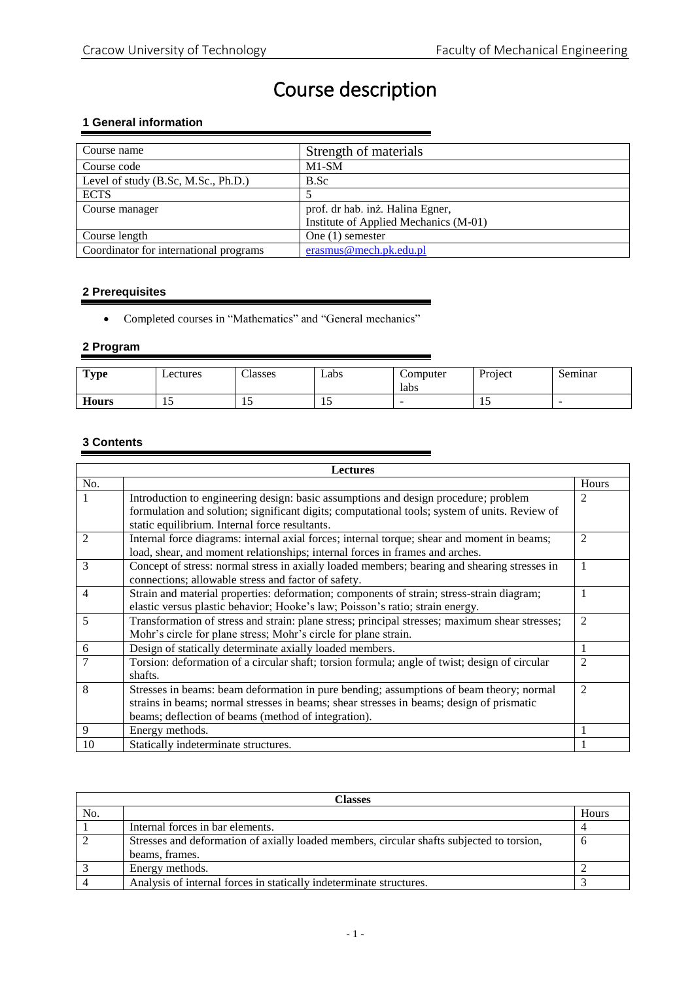# Course description

## **1 General information**

| Course name                            | Strength of materials                 |
|----------------------------------------|---------------------------------------|
| Course code                            | $M1-SM$                               |
| Level of study (B.Sc, M.Sc., Ph.D.)    | B.Sc                                  |
| <b>ECTS</b>                            |                                       |
| Course manager                         | prof. dr hab. inż. Halina Egner,      |
|                                        | Institute of Applied Mechanics (M-01) |
| Course length                          | One $(1)$ semester                    |
| Coordinator for international programs | erasmus@mech.pk.edu.pl                |

### **2 Prerequisites**

Completed courses in "Mathematics" and "General mechanics"

## **2 Program**

| <b>Type</b>  | Lectures | Classes | Labs | Computer | Project | Seminar                  |
|--------------|----------|---------|------|----------|---------|--------------------------|
|              |          |         |      | labs     |         |                          |
| <b>Hours</b> |          |         |      | -        | . .     | $\overline{\phantom{a}}$ |

## **3 Contents**

| <b>Lectures</b> |                                                                                                                                                 |                |
|-----------------|-------------------------------------------------------------------------------------------------------------------------------------------------|----------------|
| No.             |                                                                                                                                                 | Hours          |
|                 | Introduction to engineering design: basic assumptions and design procedure; problem                                                             | 2              |
|                 | formulation and solution; significant digits; computational tools; system of units. Review of<br>static equilibrium. Internal force resultants. |                |
| $\mathfrak{D}$  | Internal force diagrams: internal axial forces; internal torque; shear and moment in beams;                                                     | $\overline{2}$ |
|                 | load, shear, and moment relationships; internal forces in frames and arches.                                                                    |                |
| 3               | Concept of stress: normal stress in axially loaded members; bearing and shearing stresses in                                                    | 1              |
|                 | connections; allowable stress and factor of safety.                                                                                             |                |
| 4               | Strain and material properties: deformation; components of strain; stress-strain diagram;                                                       | 1              |
|                 | elastic versus plastic behavior; Hooke's law; Poisson's ratio; strain energy.                                                                   |                |
| 5               | Transformation of stress and strain: plane stress; principal stresses; maximum shear stresses;                                                  | $\overline{2}$ |
|                 | Mohr's circle for plane stress; Mohr's circle for plane strain.                                                                                 |                |
| 6               | Design of statically determinate axially loaded members.                                                                                        |                |
|                 | Torsion: deformation of a circular shaft; torsion formula; angle of twist; design of circular                                                   | $\overline{2}$ |
|                 | shafts.                                                                                                                                         |                |
| 8               | Stresses in beams: beam deformation in pure bending; assumptions of beam theory; normal                                                         | 2              |
|                 | strains in beams; normal stresses in beams; shear stresses in beams; design of prismatic                                                        |                |
|                 | beams; deflection of beams (method of integration).                                                                                             |                |
| 9               | Energy methods.                                                                                                                                 |                |
| 10              | Statically indeterminate structures.                                                                                                            |                |

| Classes        |                                                                                           |       |
|----------------|-------------------------------------------------------------------------------------------|-------|
| No.            |                                                                                           | Hours |
|                | Internal forces in bar elements.                                                          |       |
| $\overline{2}$ | Stresses and deformation of axially loaded members, circular shafts subjected to torsion, | n     |
|                | beams, frames.                                                                            |       |
|                | Energy methods.                                                                           |       |
|                | Analysis of internal forces in statically indeterminate structures.                       |       |